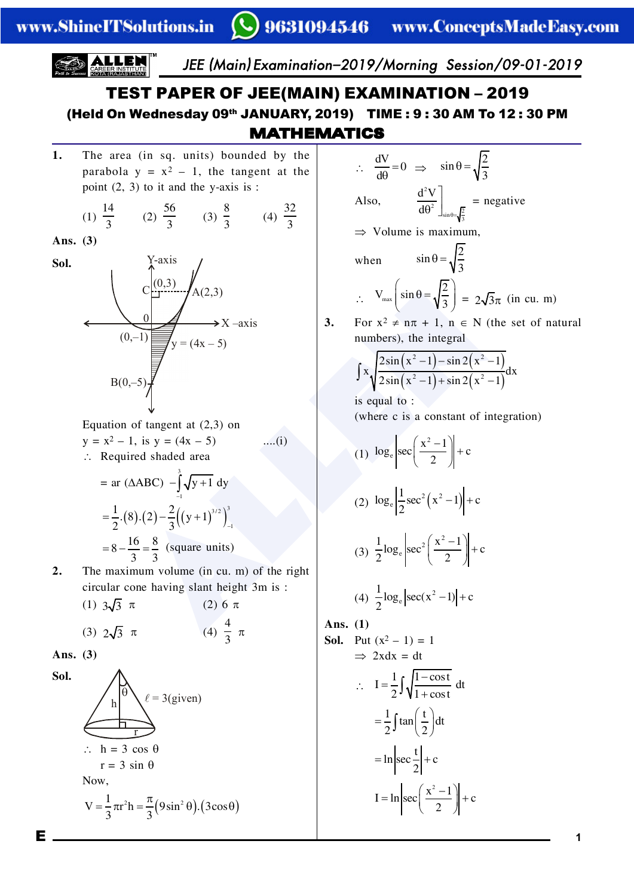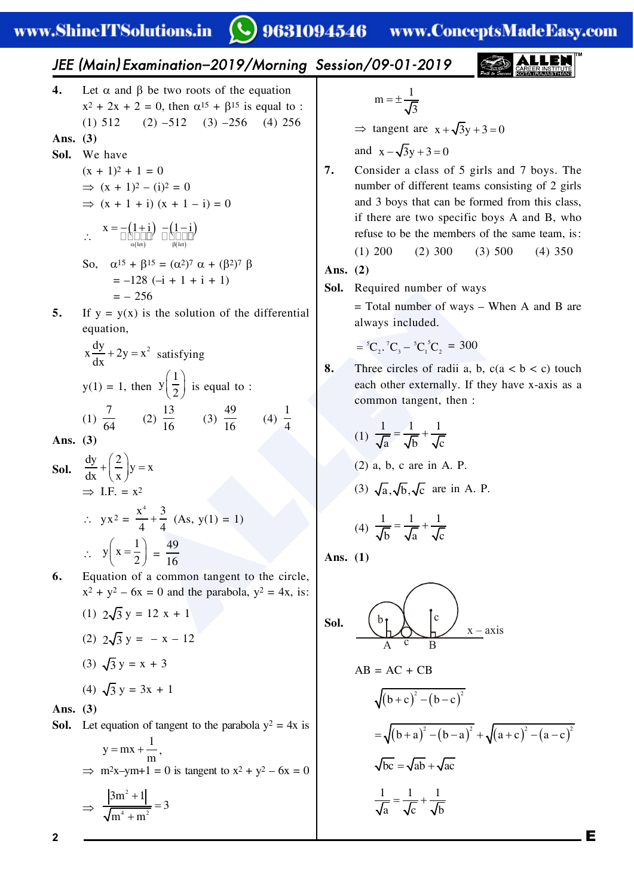# **Q** 9631094546

www.ConceptsMadeEasy.com

E JEE (Main) Examination–2019/Morning Session/09-01-2019 **2** ALLEN **4.** Ibta^nab\_btworootsoctebbqu^tfon x/(/x(/:-)tebna.2(b.2fsbqu^ito7 %.&2./ %/&2./ %0&/23 %1&/23 **Ans. (3) Sol.** Tbe^vb %x(.&/(.:- Þ %x(.&/%f&/:- Þ %x(.(f&%x(.f&:- \ ( ) ( ) ( ) a b( ) =- + - - ibt ibt x . f . f Po)a.2(b.2:%a/& <sup>4</sup> a(%b/& <sup>4</sup> b :./5%f(.(f(.& :/23 **5.** Fcy:y%x&fstebsoiutfonoctebafccbrbntf^i bqu^tfon) + = ay / x /y x ax s^tfscyfnd y%.&:.)tebn . y / æ ö ç ÷ è øfsbqu^ito7 %.& 4 <sup>31</sup> %/& .0 .3 %0& 16 .3 %1& . 1 **Ans. (3) Sol.** ay / y x ax x æ ö + = ç ÷ è ø Þ F+C+:x/ \ yx/: 1 x 0 1 1 + %>s)y%.&:.& \ . y x / æ ö <sup>=</sup> ç ÷ è ø : 16 .3 **6.** Bqu^tfonoc^`ommont^ndbnttoteb`fr`ib) x/(y/3x:-^natebp^r^\_oi^)y/:1x)fs7 %.& / 0 y:./x(. %/& / 0 y:x./ %0& 0 y:x(0 %1& 0 y:0x(. **Ans. (3) Sol.** Ibtbqu^tfonoct^ndbnttotebp^r^\_oi^y/:1xfs . y mx m = + ) Þ m/xym(.:-fst^ndbnttox/(y/3x:- Þ / 1 / 0m . 0 m m + = + . m 0 = ± Þ t^ndbnt^rb x 0y 0 - + += ^na x 0y 0 - - += **7.** @onsfabr ^ `i^ss oc 2 dfris ^na 4 \_oys+ Qeb num\_brocafccbrbnttb^ms`onsfstfndoc/dfris ^na0\_oyste^t`^n\_bcormbacromtefs`i^ss) fctebrb^rbtwospb`fcf`\_oys>^na?)weo rbcusbto\_btebmbm\_brsoctebs^mbtb^m)fs7 %.&/-- %/&0-- %0&2-- %1&02- **Ans. (2) Sol.** Obqufrbanum\_brocw^ys :Qot^inum\_brocw^ysTebn>^na?^rb ^iw^ysfn`iuaba+ = - 24 2 2 @+@ @ @ / 0 ./ :0-- **8.** Qerbb`fr`ibsocr^aff^)\_)`%^9\_9`&tou`e b^`eotebrbxtbrn^iiy+Fctebye^vbx\*^xfs^s^ `ommont^ndbnt)tebn7 %.& ... ^\_` = + %/&^)\_)`^rbfn>+M+ %0& ^) \_) ` ^rbfn>+M+ %1& ... \_^` = + **Ans. (1) Sol.** <sup>b</sup> <sup>c</sup> A c B x – axis >?:>@(@? ( ) ( ) / / \_` \_` + -- ( ) ( ) ( ) ( ) / / // = + -- + + -- \_^ \_^ ^` ^` \_` ^\_ ^` = + ... ^`\_ = +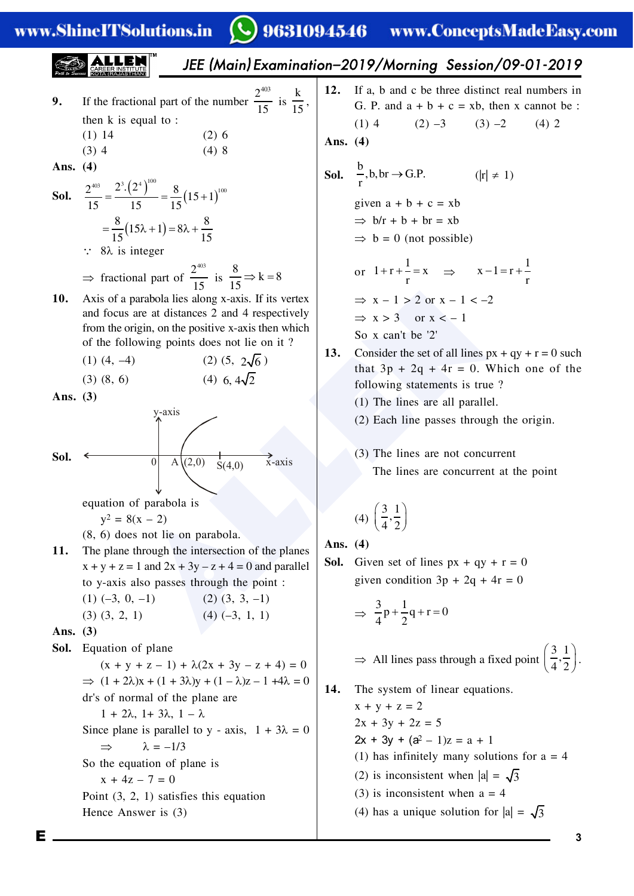www.ShineITSolutions.in

### **Q** 9631094546 www.ConceptsMadeEasy.com

**EXAMPLE 3.2.1.2.1.2.3.3.3.4.4.5.5. a 
$$
2x = 1
$$
 and  $2x = 1$  and  $2x = 1$  and  $2x = 1$  and  $2x = 1$  and  $2x = 1$  and  $2x = 1$  and  $2x = 1$  and  $2x = 1$  and  $2x = 1$  and  $2x = 1$  and  $2x = 1$  and  $2x = 1$  and  $2x = 1$  and  $2x = 1$  and  $2x = 1$  and  $2x = 1$  and  $2x = 1$  and  $2x = 1$  and  $2x = 1$  and  $2x = 1$  and  $2x = 1$  and  $2x = 1$  and  $2x = 1$  and  $2x = 1$  and  $2x = 1$  and  $2x = 1$  and  $2x = 1$  and  $2x = 1$  and  $2x = 1$  and  $2x = 1$  and  $2x = 1$  and  $2x = 1$  and  $2x = 1$  and  $2x = 1$  and  $2x = 1$  and  $2x = 1$  and  $2x = 1$  and  $2x = 1$  and  $2x = 1$  and  $2x = 1$  and  $2x = 1$  and  $2x = 1$  and  $2x = 1$  and  $2x = 1$  and  $2x = 1$  and  $2x = 1$  and  $2x = 1$  and  $2x = 1$  and  $2x = 1$  and  $2x = 1$  and  $2x = 1$  and  $2x = 1$  and  $2x = 1$  and  $2x = 1$  and  $2x = 1$  and  $2x = 1$  and  $2x = 1$  and  $2x = 1$  and  $2x = 1$  and  $2x = 1$  and <**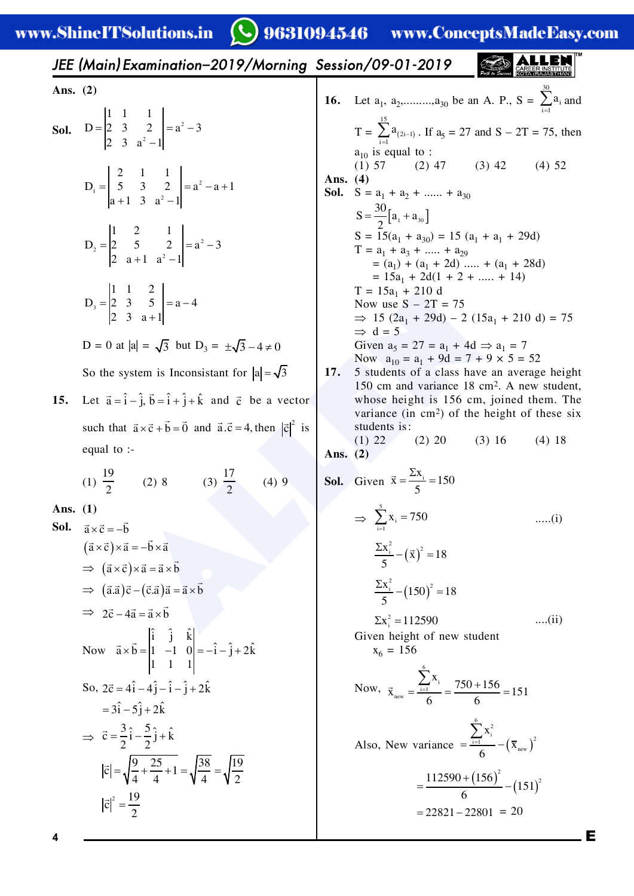**Q** 9631094546 www.ConceptsMadeEasy.com

|            | JEE (Main) Examination-2019/Morning Session/09-01-2019                                                                                                             |            |                                                                                                                                                                                           |                                                                       |
|------------|--------------------------------------------------------------------------------------------------------------------------------------------------------------------|------------|-------------------------------------------------------------------------------------------------------------------------------------------------------------------------------------------|-----------------------------------------------------------------------|
| Ans. $(2)$ |                                                                                                                                                                    |            | 16. Let $a_1, a_2, \ldots, a_{30}$ be an A. P., $S = \sum_{i=1}^{10} a_i$ and                                                                                                             |                                                                       |
|            | <b>Sol.</b> $D = \begin{vmatrix} 1 & 1 & 1 \\ 2 & 3 & 2 \\ 2 & 3 & 3 \\ 2 & 3 & 3 \end{vmatrix} = a^2 - 3$                                                         |            | T = $\sum_{i=1}^{15} a_{(2i-1)}$ . If $a_5 = 27$ and S – 2T = 75, then<br>$a_{10}$ is equal to :                                                                                          |                                                                       |
|            | $D_1 = \begin{vmatrix} 2 & 1 & 1 \\ 5 & 3 & 2 \\ a+1 & 3 & a^2-1 \end{vmatrix} = a^2 - a + 1$                                                                      | Ans. $(4)$ | $(1) 57$ $(2) 47$ $(3) 42$<br><b>Sol.</b> $S = a_1 + a_2 + \dots + a_{30}$<br>$S = \frac{30}{2} [a_1 + a_{30}]$                                                                           | $(4)$ 52                                                              |
|            | $D_2 = \begin{vmatrix} 1 & 2 & 1 \\ 2 & 5 & 2 \\ 2 & 3 & 1 & 3^2 - 1 \end{vmatrix} = a^2 - 3$                                                                      |            | $S = 15(a_1 + a_{30}) = 15(a_1 + a_1 + 29d)$<br>$T = a_1 + a_3 + \dots + a_{29}$<br>$= (a_1) + (a_1 + 2d) \dots + (a_1 + 28d)$                                                            |                                                                       |
|            | $D_3 = \begin{vmatrix} 1 & 1 & 2 \\ 2 & 3 & 5 \\ 2 & 3 & 3+1 \end{vmatrix} = a - 4$                                                                                |            | $= 15a_1 + 2d(1 + 2 + \dots + 14)$<br>$T = 15a_1 + 210 d$<br>Now use $S - 2T = 75$<br>$\Rightarrow$ 15 (2a <sub>1</sub> + 29d) – 2 (15a <sub>1</sub> + 210 d) = 75<br>$\Rightarrow$ d = 5 |                                                                       |
|            | $D = 0$ at $ a  = \sqrt{3}$ but $D_3 = \pm \sqrt{3} - 4 \neq 0$                                                                                                    |            | Given $a_5 = 27 = a_1 + 4d \Rightarrow a_1 = 7$<br>Now $a_{10} = a_1 + 9d = 7 + 9 \times 5 = 52$                                                                                          |                                                                       |
| 15.        | So the system is Inconsistant for $ a  = \sqrt{3}$<br>Let $\vec{a} = \hat{i} - \hat{j}$ , $\vec{b} = \hat{i} + \hat{j} + \hat{k}$ and $\vec{c}$ be a vector        |            | 17.<br>5 students of a class have an average height<br>150 cm and variance 18 cm <sup>2</sup> . A new student,<br>whose height is 156 cm, joined them. The                                |                                                                       |
|            | such that $\vec{a} \times \vec{c} + \vec{b} = \vec{0}$ and $\vec{a} \cdot \vec{c} = 4$ , then $ \vec{c} ^2$ is<br>equal to $\cdot$ -                               | Ans. $(2)$ | students is:<br>$(2)$ 20<br>$(1)$ 22                                                                                                                                                      | variance (in $cm2$ ) of the height of these six<br>(3) 16<br>$(4)$ 18 |
|            | (1) $\frac{19}{2}$ (2) 8 (3) $\frac{17}{2}$ (4) 9                                                                                                                  |            | <b>Sol.</b> Given $\vec{x} = \frac{\sum x_i}{5} = 150$                                                                                                                                    |                                                                       |
| Ans. $(1)$ | <b>Sol.</b> $\vec{a} \times \vec{c} = -\vec{b}$                                                                                                                    |            | $\Rightarrow$ $\sum x_i = 750$                                                                                                                                                            | $(i)$                                                                 |
|            | $(\vec{a} \times \vec{c}) \times \vec{a} = -\vec{b} \times \vec{a}$<br>$\Rightarrow$ $(\vec{a} \times \vec{c}) \times \vec{a} = \vec{a} \times \vec{b}$            |            | $\frac{\sum x_i^2}{5} - (\vec{x})^2 = 18$                                                                                                                                                 |                                                                       |
|            | $\Rightarrow$ $(\vec{a}.\vec{a})\vec{c} - (\vec{c}.\vec{a})\vec{a} = \vec{a} \times \vec{b}$<br>$\Rightarrow$ 2 $\vec{c}$ – 4 $\vec{a}$ = $\vec{a} \times \vec{b}$ |            | $\frac{\sum x_i^2}{5} - (150)^2 = 18$                                                                                                                                                     |                                                                       |
|            | Now $\vec{a} \times \vec{b} = \begin{vmatrix} i & j & \hat{k} \\ 1 & -1 & 0 \\ 1 & 1 & 1 \end{vmatrix} = -\hat{i} - \hat{j} + 2\hat{k}$                            |            | $\Sigma x_i^2 = 112590$<br>Given height of new student<br>$x_6 = 156$                                                                                                                     | $\dots$ (ii)                                                          |
|            | So, $2\vec{c} = 4\hat{i} - 4\hat{j} - \hat{i} - \hat{j} + 2\hat{k}$<br>$=3\hat{i}-5\hat{j}+2\hat{k}$                                                               |            | Now, $\vec{x}_{new} = \frac{\sum_{i=1}^{5} x_i}{6} = \frac{750 + 156}{6} = 151$                                                                                                           |                                                                       |
|            | $\Rightarrow \vec{c} = \frac{3}{2}\hat{i} - \frac{5}{2}\hat{j} + \hat{k}$                                                                                          |            | Also, New variance $=\frac{\sum_{i=1}^{8} x_i^2}{6} - (\overline{x}_{new})^2$                                                                                                             |                                                                       |
|            | $ \vec{c}  = \sqrt{\frac{9}{4} + \frac{25}{4} + 1} = \sqrt{\frac{38}{4}} = \sqrt{\frac{19}{2}}$                                                                    |            |                                                                                                                                                                                           | $=\frac{112590+\left(156\right)^2}{6}-\left(151\right)^2$             |
| 4          | $ \vec{c} ^2 = \frac{19}{2}$                                                                                                                                       |            |                                                                                                                                                                                           | $= 22821 - 22801 = 20$                                                |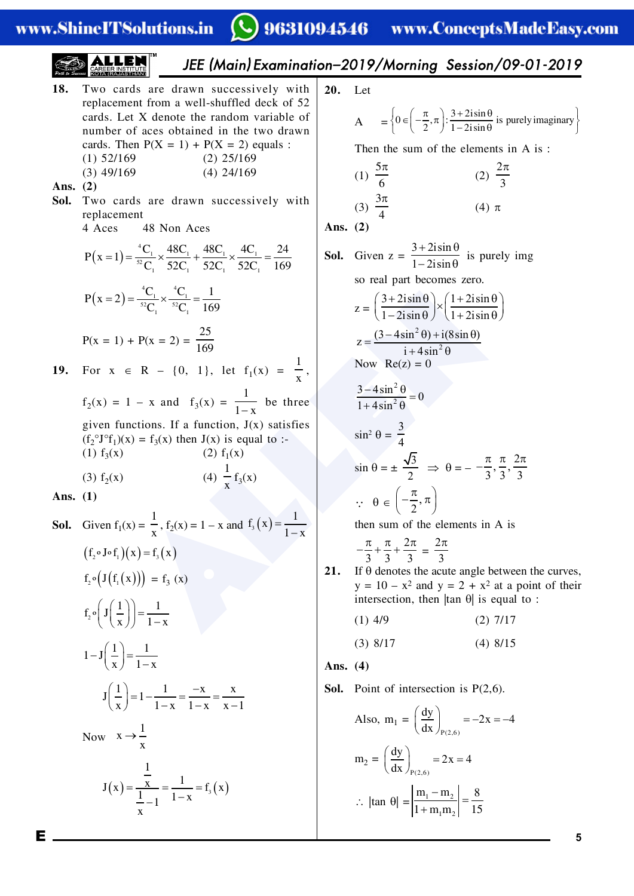www.ShineITSolutions.in

## $\bigcirc$  9631094546 www.ConceptsMadeEasy.com

**5**

JEE (Main) Examination–2019/Morning Session/09-01-2019 **18.** Qwo`^ras^rbar^wnsu``bssfvbiywfte **20.** Ibt rbpi^`bmbntcrom^wbii\*seuccibaab`hoc2/ ì ü æ ö p +q í ý Î- p ç ÷ î þ è ø - q 0 /fsfn - ) 7 fs purbiyfm^dfn^ry `^ras+IbtUabnotbtebr^naomv^rf^\_iboc > : / . /fsfn num\_broc^`bso\_t^fnbafntebtwoar^wn `^ras+QebnM%U:.&(M%U:/&bqu^is7 Qebntebsumoctebbibmbntsfn>fs7 %.&2/,.36 %/&/2,.36 2 p / p %0&16,.36 %1&/1,.36 %.& %/& 3 0 **Ans. (2)** 0 p **Sol.** Qwo`^ras^rbar^wnsu``bssfvbiywfte %1& p %0& rbpi^`bmbnt 1 1>`bs 15Kon>`bs **Ans. (2)** 3 2isin + q @ 15@ 15@ 1@ /1 Mx . 1 **Sol.** Dfvbnz: - q fspurbiyfmd == ´ + ´ = . . .. ( ) 1 2isin 2/ @ 2/@ 2/@ 2/@ .36 .. .. sorb^ip^rt\_b`ombszbro+ 1 1 @@. Mx / ALLEN ( == ´ = ) æ öæ ö +q+q ç ÷ç ÷ ´ 3 2isin 1 2isin . . 2/ 2/ @ @ .36 z: . . è øè ø -q+q 1 2isin 1 2isin /2 2 (3 4sin ) i(8sin ) - q+ q M%x:.&(M%x:/&: z = .36 2 i 4sin + q . KowOb%z&:- **19.** Cor x Î O {-) .}) ibt c. %x& : ) x 2 - q 3 4sin <sup>0</sup> . = c/ %x& : . x ^na c<sup>0</sup> %x&: \_bterbb 2 1 4sin + q . x dfvbncun`tfons+Fc^cun`tfon)G%x&s^tfscfbs 3 sfn/ q: %c/ °G°c. &%x&:c<sup>0</sup> %x&tebnG%x&fsbqu^ito7\* 4 %.&c<sup>0</sup> %x& %/&c. %x& pp p 2 3 - , , sfnq:± Þq: . 33 3 2 %0&c/ %x& %1& c0 %x& x æ ö p **Ans. (1)** Q q Î , ç ÷ - p è ø 2 . %x&:.x^na <sup>0</sup> ( ) . c x = **Sol.** Dfvbnc. %x&: )c/ tebnsumoctebbibmbntsfn>fs x . x pp p 2 2 p -++ : (c Gc x c x /. 0 º º )( ) = ( ) 33 3 3 **21.** Fcqabnotbsteb^`utb^ndib\_btwbbnteb`urvbs) c Gc x / . º( ( ( ))) :c<sup>0</sup> %x& y:.-x/^nay:/(x/^t^pofntoctebfr fntbrsb`tfon)tebn|t^nq|fsbqu^ito7 . . c G <sup>º</sup> æ ö æ ö ç ÷ <sup>=</sup> ç ÷ è ø è ø - / %.&1,6 %/&4,.4 x .x %0&5,.4 %1&5,.2 . . . G æ ö - = ç ÷ è ø x .x **Ans. (4)** . . xx G . æ ö - **Sol.** Mofntocfntbrsb`tfonfsM%/)3&+ =- = = ç ÷ è ø -- x .x .x x. æ ö ay /x 1 >iso)m. : =- =- ç ÷ è øM%/)3& . ax x ® Kow x æ ö ay /x 1 m/ : = = ç ÷ è øM%/)3& . ax . <sup>x</sup> Gx c x . . x . ( ) <sup>0</sup> ( ) = == m m 5 - - \|t^nq|: . / = - . m m .2 +x . / 

E.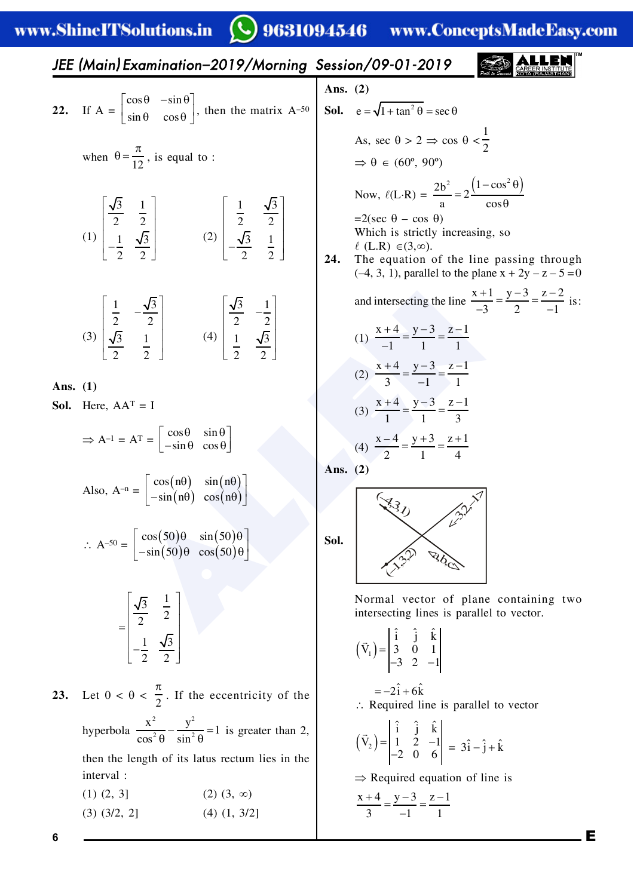**CLINATIN** ww

المنط

#### $\Omega$ **AR91AA** ی د A. D. com

|            | W.SHIIICI I SOIUUOIIS.III                                                                                                                                                                                 |            | у у годиля на интилисердинанская с                                                                                                                                                                                                                                                                     |
|------------|-----------------------------------------------------------------------------------------------------------------------------------------------------------------------------------------------------------|------------|--------------------------------------------------------------------------------------------------------------------------------------------------------------------------------------------------------------------------------------------------------------------------------------------------------|
|            | JEE (Main) Examination-2019/Morning Session/09-01-2019                                                                                                                                                    |            |                                                                                                                                                                                                                                                                                                        |
|            |                                                                                                                                                                                                           | Ans. $(2)$ |                                                                                                                                                                                                                                                                                                        |
|            | 22. If $A = \begin{bmatrix} \cos \theta & -\sin \theta \\ \sin \theta & \cos \theta \end{bmatrix}$ , then the matrix $A^{-50}$                                                                            |            | <b>Sol.</b> $e = \sqrt{1 + \tan^2 \theta} = \sec \theta$                                                                                                                                                                                                                                               |
|            | when $\theta = \frac{\pi}{12}$ , is equal to :                                                                                                                                                            |            | As, sec $\theta > 2 \Rightarrow \cos \theta < \frac{1}{2}$<br>$\Rightarrow \theta \in (60^{\circ}, 90^{\circ})$                                                                                                                                                                                        |
|            |                                                                                                                                                                                                           | 24.        | Now, $\ell(L \cdot R) = \frac{2b^2}{a} = 2 \frac{(1 - \cos^2 \theta)}{\cos \theta}$<br>$=2(\sec \theta - \cos \theta)$<br>Which is strictly increasing, so<br>$\ell$ (L.R) $\in (3,\infty)$ .<br>The equation of the line passing through<br>$(-4, 3, 1)$ , parallel to the plane $x + 2y - z - 5 = 0$ |
|            | (3) $\left  \frac{\frac{1}{2}}{\frac{\sqrt{3}}{2}} - \frac{\frac{\sqrt{3}}{2}}{\frac{1}{2}} \right $ (4) $\left  \frac{\frac{\sqrt{3}}{2}}{\frac{1}{2}} - \frac{\frac{1}{2}}{\frac{\sqrt{3}}{2}} \right $ |            | and intersecting the line $\frac{x+1}{2} = \frac{y-3}{2} = \frac{z-2}{1}$ is:<br>(1) $\frac{x+4}{1} = \frac{y-3}{1} = \frac{z-1}{1}$<br>(2) $\frac{x+4}{3} = \frac{y-3}{-1} = \frac{z-1}{1}$                                                                                                           |
| Ans. $(1)$ |                                                                                                                                                                                                           |            |                                                                                                                                                                                                                                                                                                        |
|            | <b>Sol.</b> Here, $AA^T = I$                                                                                                                                                                              |            | (3) $\frac{x+4}{1} = \frac{y-3}{1} = \frac{z-1}{3}$                                                                                                                                                                                                                                                    |
|            | $\Rightarrow A^{-1} = A^{T} = \begin{vmatrix} \cos \theta & \sin \theta \\ -\sin \theta & \cos \theta \end{vmatrix}$                                                                                      |            | (4) $\frac{x-4}{2} = \frac{y+3}{1} = \frac{z+1}{4}$                                                                                                                                                                                                                                                    |
|            | Also, $A^{-n} = \begin{vmatrix} cos(n\theta) & sin(n\theta) \\ -sin(n\theta) & cos(n\theta) \end{vmatrix}$                                                                                                | Ans. $(2)$ | 330 125                                                                                                                                                                                                                                                                                                |
|            | $\therefore A^{-50} = \begin{bmatrix} \cos(50)\theta & \sin(50)\theta \\ -\sin(50)\theta & \cos(50)\theta \end{bmatrix}$                                                                                  | Sol.       |                                                                                                                                                                                                                                                                                                        |
|            | $=\begin{bmatrix} \frac{\sqrt{3}}{2} & \frac{1}{2} \\ \frac{1}{2} & \frac{\sqrt{3}}{2} \end{bmatrix}$                                                                                                     |            | Normal vector of plane containing two<br>intersecting lines is parallel to vector.                                                                                                                                                                                                                     |
|            |                                                                                                                                                                                                           |            | $(\vec{V}_1) = \begin{vmatrix} i & j & k \\ 3 & 0 & 1 \\ -3 & 2 & -1 \end{vmatrix}$                                                                                                                                                                                                                    |
| 23.        | Let $0 < \theta < \frac{\pi}{2}$ . If the eccentricity of the                                                                                                                                             |            | $=-2\hat{i}+6\hat{k}$<br>$\therefore$ Required line is parallel to vector                                                                                                                                                                                                                              |
|            | hyperbola $\frac{x^2}{\cos^2 \theta} - \frac{y^2}{\sin^2 \theta} = 1$ is greater than 2,                                                                                                                  |            | $(\vec{V}_2) = \begin{vmatrix} i & j & k \\ 1 & 2 & -1 \\ -2 & 0 & 6 \end{vmatrix} = 3\hat{i} - \hat{j} + \hat{k}$                                                                                                                                                                                     |
|            | then the length of its latus rectum lies in the                                                                                                                                                           |            |                                                                                                                                                                                                                                                                                                        |
|            | interval:                                                                                                                                                                                                 |            | $\Rightarrow$ Required equation of line is                                                                                                                                                                                                                                                             |

 $(1)$   $(2, 3]$  $(2)$   $(3, \infty)$  $(4)$   $(1, 3/2]$  $(3)$   $(3/2, 2]$ 

 $\Rightarrow$  Required equation of line is

. E

$$
\frac{x+4}{3} = \frac{y-3}{-1} = \frac{z-1}{1}
$$

 $\bf 6$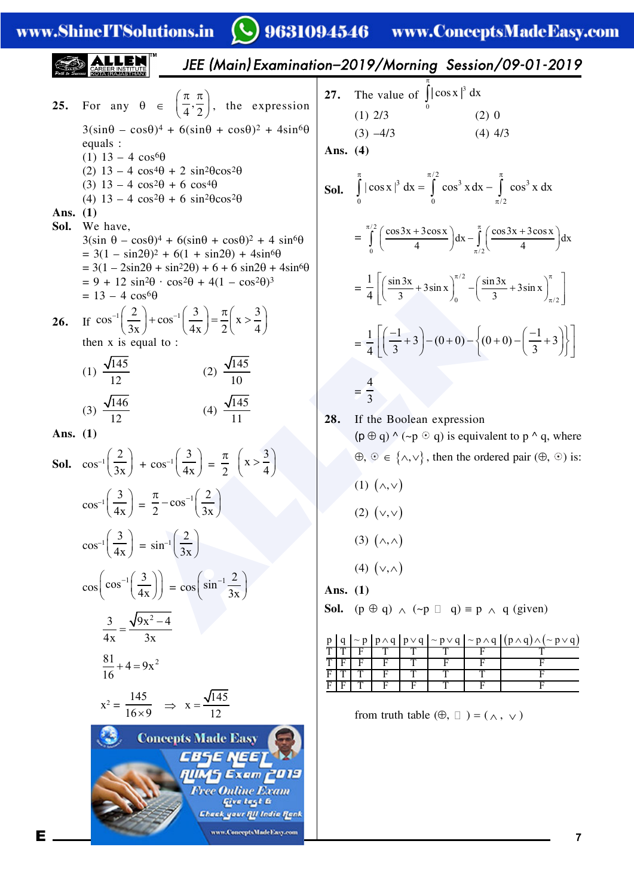www.ShineITSolutions.in

9631094546 www.ConceptsMadeEasy.com  $\mathbf C$ 

|                    |                                                                                                                                                                                                            |                                                                                                                                                                                                                                                                                                                   |            |                                                                           | JEE (Main) Examination-2019/Morning Session/09-01-2019                                                                                                                                                                                                                |
|--------------------|------------------------------------------------------------------------------------------------------------------------------------------------------------------------------------------------------------|-------------------------------------------------------------------------------------------------------------------------------------------------------------------------------------------------------------------------------------------------------------------------------------------------------------------|------------|---------------------------------------------------------------------------|-----------------------------------------------------------------------------------------------------------------------------------------------------------------------------------------------------------------------------------------------------------------------|
| 25.                |                                                                                                                                                                                                            | For any $\theta \in \left(\frac{\pi}{4}, \frac{\pi}{2}\right)$ , the expression                                                                                                                                                                                                                                   | 27.        | The value of $\int_{0}^{1} \cos x \,  ^{3} \, dx$<br>$(1)$ 2/3            | (2) 0                                                                                                                                                                                                                                                                 |
|                    | equals :<br>(1) $13 - 4 \cos^{6}\theta$<br>(2) $13 - 4 \cos^4\theta + 2 \sin^2\theta\cos^2\theta$<br>(3) $13 - 4 \cos^2\theta + 6 \cos^4\theta$<br>(4) $13 - 4 \cos^2\theta + 6 \sin^2\theta \cos^2\theta$ | $3(\sin\theta - \cos\theta)^4 + 6(\sin\theta + \cos\theta)^2 + 4\sin^6\theta$                                                                                                                                                                                                                                     | Ans. $(4)$ | $(3) -4/3$                                                                | $(4)$ 4/3<br><b>Sol.</b> $\int_{0}^{\pi}  \cos x ^3 dx = \int_{0}^{\pi/2} \cos^3 x dx - \int_{\pi/2}^{\pi} \cos^3 x dx$                                                                                                                                               |
| Ans. $(1)$<br>Sol. | We have,<br>$= 13 - 4 \cos^{6}\theta$                                                                                                                                                                      | $3(\sin \theta - \cos \theta)^4 + 6(\sin \theta + \cos \theta)^2 + 4 \sin^6 \theta$<br>$= 3(1 - \sin 2\theta)^2 + 6(1 + \sin 2\theta) + 4\sin^6\theta$<br>$= 3(1 - 2\sin 2\theta + \sin^2 2\theta) + 6 + 6\sin 2\theta + 4\sin^6 \theta$<br>$= 9 + 12 \sin^2 \theta \cdot \cos^2 \theta + 4(1 - \cos^2 \theta)^3$ |            |                                                                           | $= \int_{0}^{\pi/2} \left( \frac{\cos 3x + 3\cos x}{4} \right) dx - \int_{0}^{\pi} \left( \frac{\cos 3x + 3\cos x}{4} \right) dx$<br>$=\frac{1}{4}\left[\left(\frac{\sin 3x}{3}+3\sin x\right)_0^{\pi/2}-\left(\frac{\sin 3x}{3}+3\sin x\right)_{\pi/2}^{\pi}\right]$ |
| 26.                | then $x$ is equal to :<br>(1) $\frac{\sqrt{145}}{12}$<br>(3) $\frac{\sqrt{146}}{12}$                                                                                                                       | If $\cos^{-1}\left(\frac{2}{3x}\right) + \cos^{-1}\left(\frac{3}{4x}\right) = \frac{\pi}{2} \left(x > \frac{3}{4}\right)$<br>(2) $\frac{\sqrt{145}}{10}$<br>(4) $\frac{\sqrt{145}}{11}$                                                                                                                           | 28.        | $=\frac{4}{3}$                                                            | $=\frac{1}{4}\left[\left(\frac{-1}{3}+3\right)-(0+0)-\left\{(0+0)-\left(\frac{-1}{3}+3\right)\right\}\right]$                                                                                                                                                         |
| Ans. $(1)$         | $\cos^{-1}\left(\frac{3}{4x}\right) = \frac{\pi}{2} - \cos^{-1}\left(\frac{2}{3x}\right)$                                                                                                                  | <b>Sol.</b> $\cos^{-1}\left(\frac{2}{3x}\right) + \cos^{-1}\left(\frac{3}{4x}\right) = \frac{\pi}{2} \left(x > \frac{3}{4}\right)$                                                                                                                                                                                |            | If the Boolean expression<br>$(1)$ $(\wedge,\vee)$<br>$(2)$ $(\vee,\vee)$ | $(p \oplus q) \wedge (\neg p \odot q)$ is equivalent to p $\wedge$ q, where<br>$\Theta$ , $\Theta \in \{\wedge, \vee\}$ , then the ordered pair $(\Theta, \Theta)$ is:                                                                                                |
|                    | $\cos^{-1}\left(\frac{3}{4x}\right) = \sin^{-1}\left(\frac{2}{3x}\right)$<br>$\cos\left(\cos^{-1}\left(\frac{3}{4x}\right)\right) = \cos\left(\sin^{-1}\frac{2}{3x}\right)$                                |                                                                                                                                                                                                                                                                                                                   | Ans. $(1)$ | $(3)$ $(\wedge, \wedge)$<br>(4) $(v, \wedge)$                             | <b>Sol.</b> ( $p \oplus q$ ) $\wedge$ ( $\neg p \Box q$ ) = $p \wedge q$ (given)                                                                                                                                                                                      |
|                    | $\frac{3}{4x} = \frac{\sqrt{9x^2-4}}{3x}$<br>$\frac{81}{16} + 4 = 9x^2$<br>$x^2 = \frac{145}{16 \times 9}$ $\Rightarrow$ $x = \frac{\sqrt{145}}{12}$                                                       |                                                                                                                                                                                                                                                                                                                   | F<br>F     | F<br>Τ<br>F<br>F<br>from truth table $(\oplus, \Box) = (\land, \lor)$     | $\frac{\sim p \left[ p \wedge q \right] p \vee q \sim p \vee q \sim p \wedge q \left[ (p \wedge q) \wedge (\sim p \vee q) \right]}{F \left[ T \right] T \left[ T \right] F \left[ T \right] F}$<br>F<br>F<br>Τ<br>F<br>F                                              |
|                    |                                                                                                                                                                                                            | <b>Concepts Made Easy</b><br>CBSE NEE)<br>iWAS Exam 2019<br>Free Online Exam<br>Give tegt G<br>Check your FU India Fonk<br>www.ConceptsMadeEasy.com                                                                                                                                                               |            |                                                                           |                                                                                                                                                                                                                                                                       |